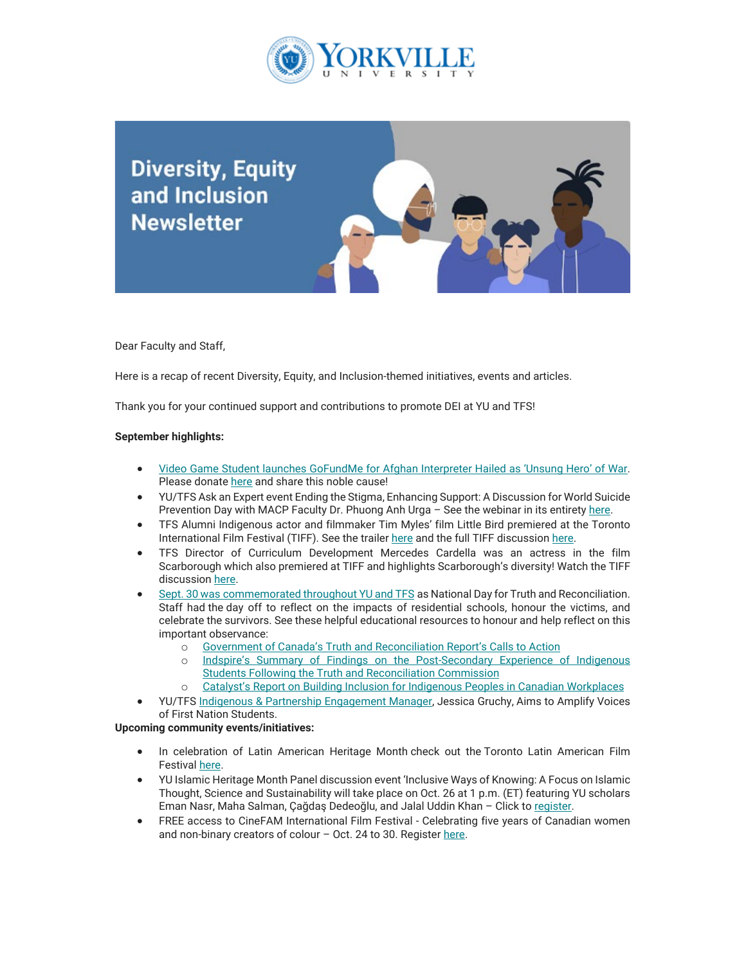

**Diversity, Equity** and Inclusion **Newsletter** 

Dear Faculty and Staff,

Here is a recap of recent Diversity, Equity, and Inclusion-themed initiatives, events and articles.

Thank you for your continued support and contributions to promote DEI at YU and TFS!

## **September highlights:**

- [Video Game Student launches GoFundMe for Afghan Interpreter Hailed as 'Unsung Hero' of War.](https://can01.safelinks.protection.outlook.com/?url=https%3A%2F%2Fwww.torontofilmschool.ca%2Fblog%2Fvideo-game-student-launches-gofundme-for-afghan-interpreter-hailed-as-unsung-hero-of-war%2F&data=05%7C01%7Cmfraser%40yorkvilleu.ca%7C5585f6134e754c19cf0108da4d5fbb6a%7C8e5c33be6efe45efb1956787de8fd649%7C0%7C0%7C637907370794613307%7CUnknown%7CTWFpbGZsb3d8eyJWIjoiMC4wLjAwMDAiLCJQIjoiV2luMzIiLCJBTiI6Ik1haWwiLCJXVCI6Mn0%3D%7C3000%7C%7C%7C&sdata=yTyeja6RJjGQZ0ZH%2BA6bZD1jOQD%2BEYXzj9jWkp7nia0%3D&reserved=0) Please donate [here](https://can01.safelinks.protection.outlook.com/?url=https%3A%2F%2Fwww.gofundme.com%2Ff%2Fleft-behind-alex&data=05%7C01%7Cmfraser%40yorkvilleu.ca%7C5585f6134e754c19cf0108da4d5fbb6a%7C8e5c33be6efe45efb1956787de8fd649%7C0%7C0%7C637907370794613307%7CUnknown%7CTWFpbGZsb3d8eyJWIjoiMC4wLjAwMDAiLCJQIjoiV2luMzIiLCJBTiI6Ik1haWwiLCJXVCI6Mn0%3D%7C3000%7C%7C%7C&sdata=1o7r4q%2BhwkD6VQTbQTOu8FQFZe46mWNBlGOoKXuNa9c%3D&reserved=0) and share this noble cause!
- YU/TFS Ask an Expert event Ending the Stigma, Enhancing Support: A Discussion for World Suicide Prevention Day with MACP Faculty Dr. Phuong Anh Urga - See the webinar in its entirety [here.](https://can01.safelinks.protection.outlook.com/?url=https%3A%2F%2Fwww.youtube.com%2Fwatch%3Fv%3D0SsQ5QbJkrY&data=05%7C01%7Cmfraser%40yorkvilleu.ca%7C5585f6134e754c19cf0108da4d5fbb6a%7C8e5c33be6efe45efb1956787de8fd649%7C0%7C0%7C637907370794613307%7CUnknown%7CTWFpbGZsb3d8eyJWIjoiMC4wLjAwMDAiLCJQIjoiV2luMzIiLCJBTiI6Ik1haWwiLCJXVCI6Mn0%3D%7C3000%7C%7C%7C&sdata=psCjsv%2F6w%2FKbg%2FjhTwR2G9Onje37cEGgEpQxDloNCVo%3D&reserved=0)
- TFS Alumni Indigenous actor and filmmaker Tim Myles' film Little Bird premiered at the Toronto International Film Festival (TIFF). See the trailer [here](https://can01.safelinks.protection.outlook.com/?url=https%3A%2F%2Fwww.youtube.com%2Fwatch%3Fv%3D3faBtTF9BvA&data=05%7C01%7Cmfraser%40yorkvilleu.ca%7C5585f6134e754c19cf0108da4d5fbb6a%7C8e5c33be6efe45efb1956787de8fd649%7C0%7C0%7C637907370794613307%7CUnknown%7CTWFpbGZsb3d8eyJWIjoiMC4wLjAwMDAiLCJQIjoiV2luMzIiLCJBTiI6Ik1haWwiLCJXVCI6Mn0%3D%7C3000%7C%7C%7C&sdata=%2Bu5YyHI%2BtrnS05SKDRM0k70vryNRvNpomrqaQAHJ1AE%3D&reserved=0) and the full TIFF discussion [here.](https://can01.safelinks.protection.outlook.com/?url=https%3A%2F%2Fwww.youtube.com%2Fwatch%3Fv%3DwQ_lqbyZ7nM&data=05%7C01%7Cmfraser%40yorkvilleu.ca%7C5585f6134e754c19cf0108da4d5fbb6a%7C8e5c33be6efe45efb1956787de8fd649%7C0%7C0%7C637907370794613307%7CUnknown%7CTWFpbGZsb3d8eyJWIjoiMC4wLjAwMDAiLCJQIjoiV2luMzIiLCJBTiI6Ik1haWwiLCJXVCI6Mn0%3D%7C3000%7C%7C%7C&sdata=VKLPYywBeMvQgPBKqmDMgVSx%2FcZYQL%2FiS9HXIUivL4s%3D&reserved=0)
- TFS Director of Curriculum Development Mercedes Cardella was an actress in the film Scarborough which also premiered at TIFF and highlights Scarborough's diversity! Watch the TIFF discussion [here.](https://can01.safelinks.protection.outlook.com/?url=https%3A%2F%2Fwww.youtube.com%2Fwatch%3Fv%3DFMpdlsNjdXg&data=05%7C01%7Cmfraser%40yorkvilleu.ca%7C5585f6134e754c19cf0108da4d5fbb6a%7C8e5c33be6efe45efb1956787de8fd649%7C0%7C0%7C637907370794613307%7CUnknown%7CTWFpbGZsb3d8eyJWIjoiMC4wLjAwMDAiLCJQIjoiV2luMzIiLCJBTiI6Ik1haWwiLCJXVCI6Mn0%3D%7C3000%7C%7C%7C&sdata=vIs4FFfoN%2Fov9u1t5Hxh47uXr02sAJ%2B1GqUsszAYXL4%3D&reserved=0)
- Sept. 30 was [commemorated throughout YU and TFS](http://https/www.yorkvilleu.ca/yu-staff-and-faculty-honour-truth-reconciliation-with-day-of-reflection/) as National Day for Truth and Reconciliation. Staff had the day off to reflect on the impacts of residential schools, honour the victims, and celebrate the survivors. See these helpful educational resources to honour and help reflect on this important observance:
	- o [Government of Canada's Truth and Reconciliation Report's Calls to Action](https://can01.safelinks.protection.outlook.com/?url=https%3A%2F%2Fwww.rcaanc-cirnac.gc.ca%2Feng%2F1524494530110%2F1557511412801&data=05%7C01%7Cmfraser%40yorkvilleu.ca%7C5585f6134e754c19cf0108da4d5fbb6a%7C8e5c33be6efe45efb1956787de8fd649%7C0%7C0%7C637907370794613307%7CUnknown%7CTWFpbGZsb3d8eyJWIjoiMC4wLjAwMDAiLCJQIjoiV2luMzIiLCJBTiI6Ik1haWwiLCJXVCI6Mn0%3D%7C3000%7C%7C%7C&sdata=awuzbk3GARR491rGcfKJYKikMlufFduiAddQCgZ9b6I%3D&reserved=0)<br>Co Indspire's Summary of Findings on the Post-Secondary Experience
	- [Indspire's Summary of Findings on the Post-Secondary Experience of Indigenous](https://can01.safelinks.protection.outlook.com/?url=https%3A%2F%2Findspire.ca%2Fwp-content%2Fuploads%2F2019%2F10%2FPSE-Experience-Indigenous-Students-Survey-Summary-Sept2018.pdf&data=05%7C01%7Cmfraser%40yorkvilleu.ca%7C5585f6134e754c19cf0108da4d5fbb6a%7C8e5c33be6efe45efb1956787de8fd649%7C0%7C0%7C637907370794613307%7CUnknown%7CTWFpbGZsb3d8eyJWIjoiMC4wLjAwMDAiLCJQIjoiV2luMzIiLCJBTiI6Ik1haWwiLCJXVCI6Mn0%3D%7C3000%7C%7C%7C&sdata=HchTs%2BD6bD8I0KGIHk5CG5R5kpcXctc5cj9J%2FK1xkMs%3D&reserved=0) [Students Following the Truth and Reconciliation Commission](https://can01.safelinks.protection.outlook.com/?url=https%3A%2F%2Findspire.ca%2Fwp-content%2Fuploads%2F2019%2F10%2FPSE-Experience-Indigenous-Students-Survey-Summary-Sept2018.pdf&data=05%7C01%7Cmfraser%40yorkvilleu.ca%7C5585f6134e754c19cf0108da4d5fbb6a%7C8e5c33be6efe45efb1956787de8fd649%7C0%7C0%7C637907370794613307%7CUnknown%7CTWFpbGZsb3d8eyJWIjoiMC4wLjAwMDAiLCJQIjoiV2luMzIiLCJBTiI6Ik1haWwiLCJXVCI6Mn0%3D%7C3000%7C%7C%7C&sdata=HchTs%2BD6bD8I0KGIHk5CG5R5kpcXctc5cj9J%2FK1xkMs%3D&reserved=0)
	- o [Catalyst's Report on Building Inclusion for Indigenous Peoples in Canadian Workplaces](https://can01.safelinks.protection.outlook.com/?url=https%3A%2F%2Fwww.catalyst.org%2Fwp-content%2Fuploads%2F2020%2F12%2FIndigenousPeoplesCanadaReport_English_final.pdf&data=05%7C01%7Cmfraser%40yorkvilleu.ca%7C5585f6134e754c19cf0108da4d5fbb6a%7C8e5c33be6efe45efb1956787de8fd649%7C0%7C0%7C637907370794613307%7CUnknown%7CTWFpbGZsb3d8eyJWIjoiMC4wLjAwMDAiLCJQIjoiV2luMzIiLCJBTiI6Ik1haWwiLCJXVCI6Mn0%3D%7C3000%7C%7C%7C&sdata=mrzXUa%2Bk%2F5OHK8Plv4tOQjZBOuRKPj%2FbsA9ivXb3VCw%3D&reserved=0)
- YU/TF[S Indigenous & Partnership Engagement Manager,](http://https/www.torontofilmschool.ca/blog/indigenous-partnership-engagement-manager-aims-to-amplify-voices-of-first-nation-students/) Jessica Gruchy, Aims to Amplify Voices of First Nation Students.

## **Upcoming community events/initiatives:**

- In celebration of Latin American Heritage Month check out the Toronto Latin American Film Festiva[l here.](http://%C2%A0https:/www.lataff.ca/%C2%A0)
- YU Islamic Heritage Month Panel discussion event 'Inclusive Ways of Knowing: A Focus on Islamic Thought, Science and Sustainability will take place on Oct. 26 at 1 p.m. (ET) featuring YU scholars Eman Nasr, Maha Salman, Çağdaş Dedeoğlu, and Jalal Uddin Khan – Click to [register.](https://can01.safelinks.protection.outlook.com/?url=https%3A%2F%2Fyorkvilleu-tfs.zoom.us%2Fwebinar%2Fregister%2FWN_8bJVNRyrRtuXeQdvO8ql_Q&data=05%7C01%7Cmfraser%40yorkvilleu.ca%7C5585f6134e754c19cf0108da4d5fbb6a%7C8e5c33be6efe45efb1956787de8fd649%7C0%7C0%7C637907370794613307%7CUnknown%7CTWFpbGZsb3d8eyJWIjoiMC4wLjAwMDAiLCJQIjoiV2luMzIiLCJBTiI6Ik1haWwiLCJXVCI6Mn0%3D%7C3000%7C%7C%7C&sdata=Ie%2BUey2UTI9GsAhgRGTEh2IIvbsswyN%2Brg2PxVnHEIM%3D&reserved=0)
- FREE access to CineFAM International Film Festival Celebrating five years of Canadian women and non-binary creators of colour  $-$  Oct. 24 to 30. Register [here.](https://can01.safelinks.protection.outlook.com/?url=https%3A%2F%2Fcaribbeantales-tv.com%2Forders%2Fcustomer_info%3Fo%3D60267&data=05%7C01%7Cmfraser%40yorkvilleu.ca%7C5585f6134e754c19cf0108da4d5fbb6a%7C8e5c33be6efe45efb1956787de8fd649%7C0%7C0%7C637907370794613307%7CUnknown%7CTWFpbGZsb3d8eyJWIjoiMC4wLjAwMDAiLCJQIjoiV2luMzIiLCJBTiI6Ik1haWwiLCJXVCI6Mn0%3D%7C3000%7C%7C%7C&sdata=xgfaFEol7BxcQNgT%2FxHfjd%2FM5kFvFHM2ujnxt2JQRP8%3D&reserved=0)